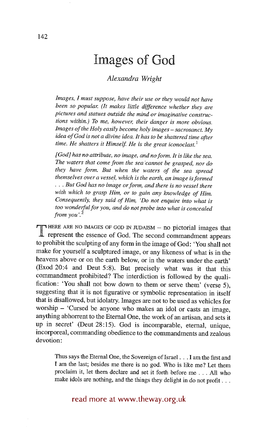# **Images of God**

# *Alexandra Wright*

*Images, I must suppose, have their use or they would not have been so popular. (It makes little difference whether they are pictures and statues outside the mind or imaginative constructions within.) To me, however, their danger is more obvious. Images of the Holy easily become holy images - sacrosanct. My idea of God is not a divine idea. It has to be shattered time after*  time. He shatters it Himself. He is the great iconoclast.<sup>1</sup>

*[God] has no attribute, no image, and no form. It is like the sea. The waters that come from the sea cannot be grasped, nor do they have form. But when the waters of the sea spread themselves over a vessel, which is the earth, an image is formed • . . But God has no image or form, and there is no vessel there with which to grasp Him, or to gain any knowledge of Him. Consequently, they said of Him, 'Do not enquire into what is too wonderful for you, and do not probe into what is concealed from you*'. $^2$ 

**T** HERE ARE NO IMAGES OF GOD IN JUDAISM – no pictorial images that represent the essence of God. The second commandment appears to prohibit the sculpting of any form in the image of God: 'You shall not make for yourself a sculptured image, or any likeness of what is in the heavens above or on the earth below, or in the waters under the earth' (Exod 20:4 and Deut 5:8). But precisely what was it that this commandment prohibited? The interdiction is followed by the qualification: 'You shall not bow down to them or serve them' (verse 5), suggesting that it is not figurative or symbolic representation in itself that is disallowed, but idolatry. Images are not to be used as vehicles for worship - 'Cursed be anyone who makes an idol or casts an image, anything abhorrent to the Eternal One, the work of an artisan, and sets it up in secret' (Deut 28:15). God is incomparable, eternal, unique, incorporeal, commanding obedience to the commandments and zealous devotion:

Thus says the Eternal One, the Sovereign of Israel... I am the first and I am the last; besides me there is no god. Who is like me? Let them proclaim it, let them declare and set it forth before me... All who make idols are nothing, and the things they delight in do not profit...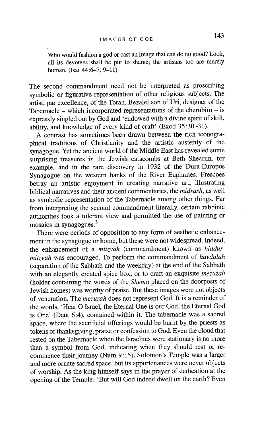Who would fashion a god or cast an image that can do no good? Look, all its devotees shall be put to shame; the artisans too are merely human. (Isai 44:6-7, 9-11)

The second commandment need not be interpreted as proscribing symbolic or figurative representation of other religious subjects. The artist, par excellence, of the Torah, Bezalel son of Uri, designer of the Tabernacle – which incorporated representations of the cherubim – is expressly singled out by God and 'endowed with a divine spirit of skill, ability, and knowledge of every kind of craft' (Exod 35:30-31).

A contrast has sometimes been drawn between the rich iconographical traditions of Christianity and the artistic austerity of the synagogue. Yet the ancient world of the Middle East has revealed some surprising treasures in the Jewish catacombs at Beth Shearim, for example, and in the rare discovery in 1932 of the Dura-Europos Synagogue on the western banks of the River Euphrates. Frescoes betray an artistic enjoyment in creating narrative art, illustrating biblical narratives and their ancient commentaries, the *midrash,* as well as symbolic representation of the Tabernacle among other things. Far from interpreting the second commandment literally, certain rabbinic authorities took a tolerant view and permitted the use of painting or mosaics in synagogues.<sup>3</sup>

There were periods of opposition to any form of aesthetic enhancement in the synagogue or home, but these were not widespread. Indeed, the enhancement of a *mitzvah* (commandment) known as *hiddurmitzvah* was encouraged. To perform the commandment of *havdalah*  (separation of the Sabbath and the weekday) at the end of the Sabbath with an elegantly created spice box, or to craft an exquisite *mezuzah*  (holder containing the words of the *Shema* placed on the doorposts of Jewish homes) was worthy of praise. But these images were not objects of veneration. The *mezuzah* does not represent God. It is a reminder of the words, 'Hear O Israel, the Eternal One is our God, the Eternal God is One' (Deut 6:4), contained within it. The tabernacle was a sacred Space, where the sacrificial offerings would be burnt by the priests as tokens of thanksgiving, praise or confession to God. Even the cloud that rested on the Tabernacle when the Israelites were stationary is no more than a symbol from God, indicating when they should rest or recommence their journey (Num 9:15). Solomon's Temple was a larger and more ornate sacred space, but its appurtenances were never objects of worship. As the king himself says in the prayer of dedication at the opening of the Temple: 'But will God indeed dwell on the earth? Even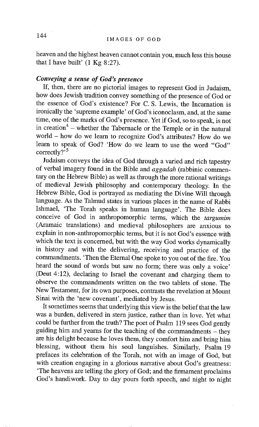heaven and the highest heaven cannot contain you, much less this house that I have built'  $(1 \text{ Kg } 8:27)$ .

### *Conveying a sense of God's presence*

If, then, there are no pictorial images to represent God in Judaism, how does Jewish tradition convey something of the presence of God or the essence of God's existence? For C. S. Lewis, the Incarnation is ironically the 'supreme example' of God's iconoclasm, and, at the same time, one of the marks of God's presence. Yet if God, so to speak, is not in creation<sup>4</sup> – whether the Tabernacle or the Temple or in the natural world - how do we learn to recognize God's attributes? How do we learn to speak of God? 'How do we learn to use the word "God" correctly $2^{5}$ 

Judaism conveys the idea of God through a varied and rich tapestry of verbal imagery found in the Bible and *aggadah* (rabbinic commentary on the Hebrew Bible) as well as through the more rational writings of medieval Jewish philosophy and contemporary theology. In the Hebrew Bible, God is portrayed as mediating the Divine Will through language. As the Talmud states in various places in the name of Rabbi Ishmael, 'The Torah speaks in human language'. The Bible does conceive of God in anthropomorphic terms, which the *targumim*  (Aramaic translations) and medieval philosophers are anxious to explain in non-anthropomorphic terms, but it is not God's essence with which the text is concerned, but with the way God works dynamically in history and with the delivering, receiving and practice of the commandments. 'Then the Eternal One spoke to you out of the fire. You heard the sound of words but saw no form; there was only a voice' (Deut 4:12), declaring to Israel the covenant and charging them to observe the commandments written on the two tablets of stone. The New Testament, for its own purposes, contrasts the revelation at Mount Sinai with the 'new covenant', mediated by Jesus.

It sometimes seems that underlying this view is the belief that the law was a burden, delivered in stern justice, rather than in love. Yet what could be further from the truth? The poet of Psalm 119 sees God gently guiding him and yearns for the teaching of the commandments  $-$  they are his delight because he loves them, they comfort him and bring him blessing, without them his soul languishes. Similarly, Psalm 19 prefaces its celebration of the Torah, not with an image of God, but with creation engaging in a glorious narrative about God's greatness: 'The heavens are telling the glory of God; and the firmament proclaims God's handiwork. Day to day pours forth speech, and night to night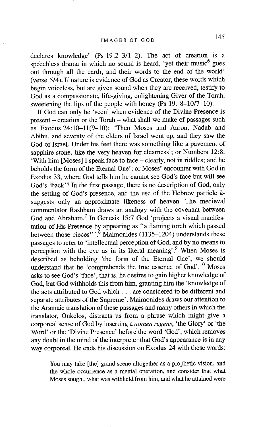declares knowledge' (Ps 19:2-3/1-2). The act of creation is a speechless drama in which no sound is heard, 'yet their music<sup>6</sup> goes out through all the earth, and their words to the end of the world' (verse 5/4). If nature is evidence of God as Creator, these words which begin voiceless, but are given sound when they are received, testify to God as a compassionate, life-giving, enlightening Giver of the Torah, sweetening the lips of the people with honey (Ps 19: 8-10/7-10).

If God can only be 'seen' when evidence of the Divine Presence is present – creation or the Torah – what shall we make of passages such as Exodus 24:10-11(9-10): 'Then Moses and Aaron, Nadab and Abihu, and seventy of the elders of Israel went up, and they saw the God of Israel. Under his feet there was something like a pavement of sapphire stone, like the very heaven for clearness'; or Numbers 12:8: 'With him [Moses] I speak face to face - clearly, not in riddles; and he beholds the form of the Eternal One'; or Moses' encounter with God in Exodus 33, where God tells him he cannot see God's face but will see God's 'back'? In the first passage, there is no description of God, only the setting of God's presence, and the use of the Hebrew particle ksuggests only an approximate likeness of heaven. The medieval commentator Rashbam draws an analogy with the covenant between God and Abraham.<sup>7</sup> In Genesis 15:7 God 'projects a visual manifestation of His Presence by appearing as "a flaming torch which passed between those pieces"'.<sup>8</sup> Maimonides (1135-1204) understands these passages to refer to 'intellectual perception of God, and by no means to perception with the eye as in its literal meaning'.<sup>9</sup> When Moses is described as beholding 'the form of the Eternal One', we should understand that he 'comprehends the true essence of God'.<sup>10</sup> Moses asks to see God's 'face', that is, he desires to gain higher knowledge of God, but God withholds this from him, granting him the 'knowledge of the acts attributed to God which.., are considered to be different and separate attributes of the Supreme'. Maimonides draws our attention to the Aramaic translation of these passages and many others in which the translator, Onkelos, distracts us from a phrase which might give a corporeal sense of God by inserting a *nomen regens,* 'the Glory' or 'the Word' or the 'Divine Presence' before the word 'God', which removes any doubt in the mind of the interpreter that God's appearance is in any way corporeal. He ends his discussion on Exodus 24 with these words:

You may take [the] grand scene altogether as a prophetic vision, and the whole occurrence as a mental operation, and consider that what Moses sought, what was withheld from him, and what he attained were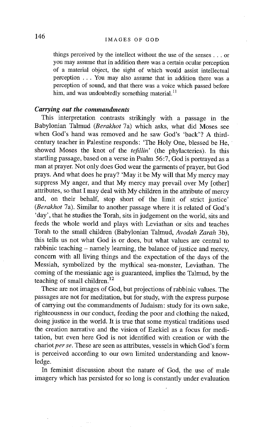things perceived by the intellect without the use of the senses.., or you may assume that in addition there was a certain ocular perception of a material object, the sight of which would assist intellectual perception ... You may also assume that in addition there was a perception of sound, and that there was a voice which passed before him, and was undoubtedly something material.<sup>11</sup>

#### *Carrying out the commandments*

This interpretation contrasts strikingly with a passage in the Babylonian Talmud *(Berakhot* 7a) which asks, what did Moses see when God's hand was removed and he saw God's 'back'? A thirdcentury teacher in Palestine responds: 'The Holy One, blessed be He, showed Moses the knot of the *tefillin'* (the phylacteries). In this startling passage, based on a verse in Psalm 56:7, God is portrayed as a man at prayer. Not only does God wear the garments of prayer, but God prays. And what does he pray? 'May it be My will that My mercy may suppress My anger, and that My mercy may prevail over My [other] attributes, so that I may deal with My children in the attribute of mercy and, on their behalf, stop short of the limit of strict justice' *(Berakhot* 7a). Similar to another passage where it is related of God's 'day', that he studies the Torah, sits in judgement on the world, sits and feeds the whole world and plays with Leviathan or sits and teaches Torah to the small children (Babylonian Talmud, *Avodah Zarah* 3b), this tells us not what God is or does, but what values are central to rabbinic teaching – namely learning, the balance of justice and mercy. concern with all living things and the expectation of the days of the Messiah, symbolized by the mythical sea-monster, Leviathan. The coming of the messianic age is guaranteed, implies the Talmud, by the teaching of small children.<sup>12</sup>

These are not images of God, but projections of rabbinic values. The passages are not for meditation, but for study, with the express purpose of carrying out the commandments of Judaism: study for its own sake, righteousness in our conduct, feeding the poor and clothing the naked, doing justice in the world. It is true that some mystical traditions used the creation narrative and the vision of Ezekiel as a focus for meditation, but even here God is not identified with creation or with the chariot *per se.* These are seen as attributes, vessels in which God's form is perceived according to our own limited understanding and knowledge.

In feminist discussion about the nature of God, the use of male imagery which has persisted for so long is constantly under evaluation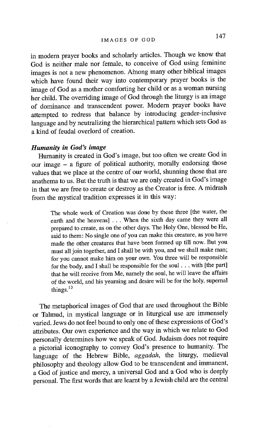in modem prayer books and scholarly articles. Though we know that God is neither male nor female, to conceive of God using feminine images is not a new phenomenon. Atnong many other biblical images which have found their way into contemporary prayer books is the image of God as a mother comforting her child or as a woman nursing her child. The overriding image of God through the liturgy is an image of dominance and transcendent power. Modem prayer books have attempted to redress that balance by introducing gender-inclusive language and by neutralizing the hierarchical pattern which sets God as a kind of feudal overlord of creation.

## *Humanity in God's image*

Humanity is created in God's image, but too often we create God in our image - a figure of political authority, morally endorsing those values that we place at the centre of our world, shunning those that are anathema to us. But the truth is that we are only created in God's image in that we are free to create or destroy as the Creator is free. A midrash from the mystical tradition expresses it in this way:

The whole work of Creation was done by these three [the water, the earth and the heavens] . . . When the sixth day came they were all prepared to create, as on the other days. The Holy One, blessed be He, said to them: No single one of you can make this creature, as you have made the other creatures that have been formed up till now. But you must all join together, and I shall be with you, and we shall make man; for you cannot make him on your own. You three will be responsible for the body, and I shall be responsible for the soul.., with [the part] that he will receive from Me, namely the soul, he will leave the affairs of the world, and his yearning and desire will be for the holy, supernal things.<sup>13</sup>

The metaphorical images of God that are used throughout the Bible or Talmud, in mystical language or in liturgical use are immensely varied. Jews do not feel bound to only one of these expressions of God's attributes. Our own experience and the way in which we relate to God personally determines how we speak of God. Judaism does not require a pictorial iconography to convey God's presence to humanity. The language of the Hebrew Bible, *aggadah,* the liturgy, medieval philosophy and theology allow God to be transcendent and immanent, a God of justice and mercy, a universal God and a God who is deeply personal. The first words that are learnt by a Jewish child are the central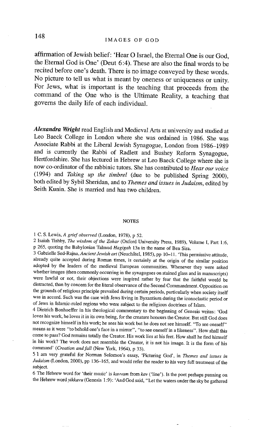**affirmation of Jewish belief: 'Hear O Israel, the Eternal One is our God, the Eternal God is One' (Deut 6:4). These are also the final words to be recited before one's death. There is no image conveyed by these words. No picture to tell us what is meant by oneness or uniqueness or unity. For Jews, what is important is the teaching that proceeds from the command of the One who is the Ultimate Reality, a teaching that governs the daily life of each individual.** 

*Alexandra Wright* **read English and Medieval Arts at university and studied at Leo Baeck College in London where she was ordained in 1986. She was Associate Rabbi at the Liberal Jewish Synagogue, London from 1986-1989 and is currently the Rabbi of Radlett and Bushey Reform Synagogue, Hertfordshire. She has lectured in Hebrew at Leo Baeck College where she is now co-ordinator of the rabbinic tutors. She has contributed to** *Hear our voice*  **(1994) and** *Taking up the timbrel* **(due to be published Spring 2000), both edited by Sybil Sheridan, and to** *Themes and issues in Judaism,* **edited by Seith Kunin. She is married and has two children.** 

#### NOTES

1 C. S. Lewis, *A grief observed* (London, 1978), p 52.

2 Isaiah Tishby, *The wisdom of the Zohar* (Oxford University Press, 1989), Volume I, Part 1:6, p 265, quoting the Babylonian Talmud *Hagigah* 13a in the name of Ben Sira.

3 Gabrielle Sed-Rajna, *Ancient Jewish art* (Neuchâtel, 1985), pp 10-11. 'This permissive attitude, already quite accepted during Roman times, is certainly at the origin of the similar position adopted by the leaders of the medieval European communities. Whenever they were asked whether images (then commonly occurring in the synagogues on stained glass and in manuscripts) were lawful or not, their objections were inspired rather by fear that the faithful would be distracted, than by concem for the literal observance of the Second Commandment. Opposition on the grounds of religious principle prevailed during certain periods, particularly when society itself was in accord. Such was the case with Jews living in Byzantium during the iconoclastic period or of Jews in Islamic-ruled regions who were subject to the religious doctrines of Islam.

4 Dietrich Bonhoeffer in his theological commentary to the beginning of Genesis writes: 'God loves his work, he loves it in its own being, for the creature honours the Creator. But still God does not recognize himself in his work; he sees his work but he does not see himself. "To see oneself" means as it were "to behold one's face in a mirror", "to see oneself in a likeness". How shall this come to pass? God remains totally the Creator. His work lies at his feet. How shall he find himself in his work? The work does not resemble the Creator, it is not his image. It is the form of his command' *(Creation and fall* (New York, 1964), p 33).

5 1 am very grateful for Norman Solomon's essay, 'Picturing God', in *Themes and issues in Judaism* (London, 2000), pp 136-165, and would refer the reader to his very full treatment of the subject.

6 The Hebrew word for 'their music' is *kavvam* from *kav* ('line'). Is the poet perhaps punning on the Hebrew *wordyikkavu* (Genesis 1:9): 'And God said, "Let the waters under the sky be gathered